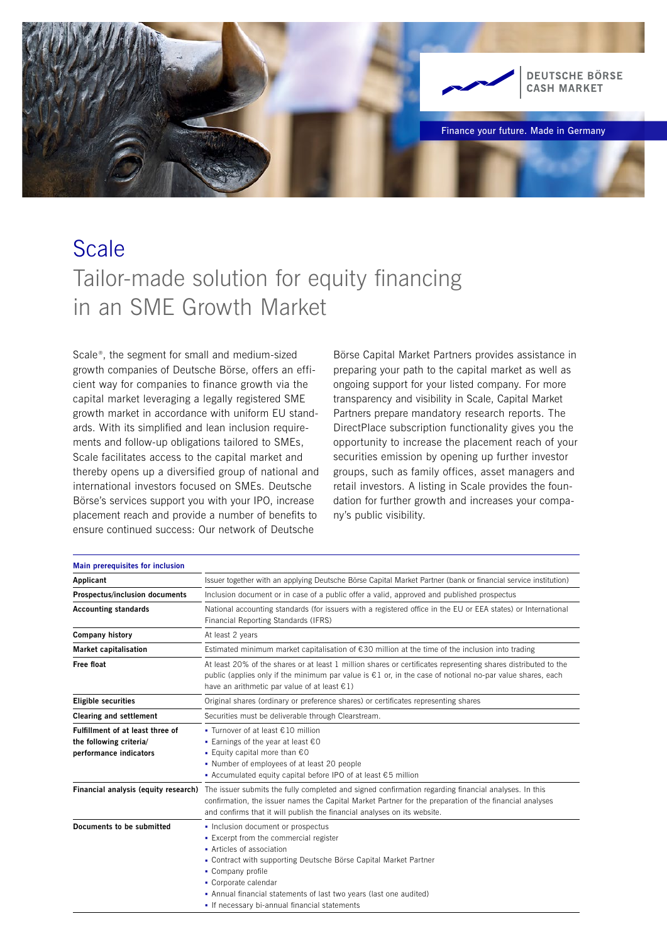

## **Scale** Tailor-made solution for equity financing in an SME Growth Market

Scale<sup>®</sup>, the segment for small and medium-sized growth companies of Deutsche Börse, offers an efficient way for companies to finance growth via the capital market leveraging a legally registered SME growth market in accordance with uniform EU standards. With its simplified and lean inclusion requirements and follow-up obligations tailored to SMEs, Scale facilitates access to the capital market and thereby opens up a diversified group of national and international investors focused on SMEs. Deutsche Börse's services support you with your IPO, increase placement reach and provide a number of benefits to ensure continued success: Our network of Deutsche

Börse Capital Market Partners provides assistance in preparing your path to the capital market as well as ongoing support for your listed company. For more transparency and visibility in Scale, Capital Market Partners prepare mandatory research reports. The DirectPlace subscription functionality gives you the opportunity to increase the placement reach of your securities emission by opening up further investor groups, such as family offices, asset managers and retail investors. A listing in Scale provides the foundation for further growth and increases your company's public visibility.

| Main prerequisites for inclusion                                                      |                                                                                                                                                                                                                                                                                                                                                   |
|---------------------------------------------------------------------------------------|---------------------------------------------------------------------------------------------------------------------------------------------------------------------------------------------------------------------------------------------------------------------------------------------------------------------------------------------------|
| Applicant                                                                             | Issuer together with an applying Deutsche Börse Capital Market Partner (bank or financial service institution)                                                                                                                                                                                                                                    |
| <b>Prospectus/inclusion documents</b>                                                 | Inclusion document or in case of a public offer a valid, approved and published prospectus                                                                                                                                                                                                                                                        |
| <b>Accounting standards</b>                                                           | National accounting standards (for issuers with a registered office in the EU or EEA states) or International<br>Financial Reporting Standards (IFRS)                                                                                                                                                                                             |
| <b>Company history</b>                                                                | At least 2 years                                                                                                                                                                                                                                                                                                                                  |
| <b>Market capitalisation</b>                                                          | Estimated minimum market capitalisation of €30 million at the time of the inclusion into trading                                                                                                                                                                                                                                                  |
| Free float                                                                            | At least 20% of the shares or at least 1 million shares or certificates representing shares distributed to the<br>public (applies only if the minimum par value is $\epsilon$ 1 or, in the case of notional no-par value shares, each<br>have an arithmetic par value of at least $\epsilon$ 1)                                                   |
| <b>Eligible securities</b>                                                            | Original shares (ordinary or preference shares) or certificates representing shares                                                                                                                                                                                                                                                               |
| <b>Clearing and settlement</b>                                                        | Securities must be deliverable through Clearstream.                                                                                                                                                                                                                                                                                               |
| Fulfillment of at least three of<br>the following criteria/<br>performance indicators | ■ Turnover of at least $€10$ million<br>Earnings of the year at least $€0$<br>■ Equity capital more than €0<br>• Number of employees of at least 20 people<br>• Accumulated equity capital before IPO of at least $€5$ million                                                                                                                    |
| Financial analysis (equity research)                                                  | The issuer submits the fully completed and signed confirmation regarding financial analyses. In this<br>confirmation, the issuer names the Capital Market Partner for the preparation of the financial analyses<br>and confirms that it will publish the financial analyses on its website.                                                       |
| Documents to be submitted                                                             | • Inclusion document or prospectus<br>• Excerpt from the commercial register<br>• Articles of association<br>• Contract with supporting Deutsche Börse Capital Market Partner<br>• Company profile<br>• Corporate calendar<br>• Annual financial statements of last two years (last one audited)<br>- If necessary bi-annual financial statements |